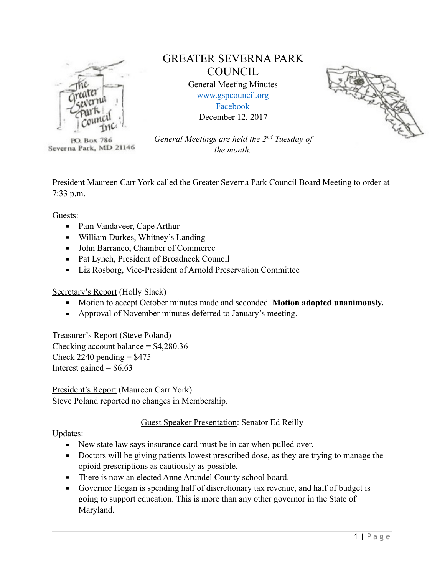

**PO. Box 786** Severna Park, MD 21146

# GREATER SEVERNA PARK **COUNCIL**

General Meeting Minutes [www.gspcouncil.org](http://www.gspcouncil.org)  [Facebook](https://www.facebook.com/severnaparkcouncil/) December 12, 2017



*General Meetings are held the 2nd Tuesday of the month.* 

President Maureen Carr York called the Greater Severna Park Council Board Meeting to order at 7:33 p.m.

Guests:

- Pam Vandaveer, Cape Arthur
- William Durkes, Whitney's Landing
- John Barranco, Chamber of Commerce
- Pat Lynch, President of Broadneck Council
- **Exercise 1** Liz Rosborg, Vice-President of Arnold Preservation Committee

# Secretary's Report (Holly Slack)

- Motion to accept October minutes made and seconded. **Motion adopted unanimously.**
- Approval of November minutes deferred to January's meeting.

Treasurer's Report (Steve Poland)

Checking account balance  $=$  \$4,280.36 Check 2240 pending  $=$  \$475 Interest gained  $=$  \$6.63

President's Report (Maureen Carr York) Steve Poland reported no changes in Membership.

# Guest Speaker Presentation: Senator Ed Reilly

Updates:

- New state law says insurance card must be in car when pulled over.
- Doctors will be giving patients lowest prescribed dose, as they are trying to manage the opioid prescriptions as cautiously as possible.
- There is now an elected Anne Arundel County school board.
- Governor Hogan is spending half of discretionary tax revenue, and half of budget is going to support education. This is more than any other governor in the State of Maryland.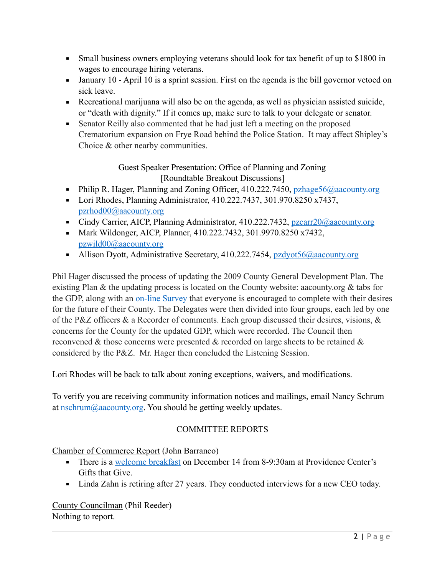- Small business owners employing veterans should look for tax benefit of up to \$1800 in wages to encourage hiring veterans.
- **•** January 10 April 10 is a sprint session. First on the agenda is the bill governor vetoed on sick leave.
- Recreational marijuana will also be on the agenda, as well as physician assisted suicide, or "death with dignity." If it comes up, make sure to talk to your delegate or senator.
- **•** Senator Reilly also commented that he had just left a meeting on the proposed Crematorium expansion on Frye Road behind the Police Station. It may affect Shipley's Choice & other nearby communities.

# Guest Speaker Presentation: Office of Planning and Zoning [Roundtable Breakout Discussions]

- **Philip R. Hager, Planning and Zoning Officer, 410.222.7450, [pzhage56@aacounty.org](mailto:pzhage56@aacounty.org)**
- Lori Rhodes, Planning Administrator, 410.222.7437, 301.970.8250 x7437, [pzrhod00@aacounty.org](mailto:pzrhod00@aacounty.org)
- Cindy Carrier, AICP, Planning Administrator, 410.222.7432, [pzcarr20@aacounty.org](mailto:pzcarr20@aacounty.org)
- Mark Wildonger, AICP, Planner, 410.222.7432, 301.9970.8250 x7432, [pzwild00@aacounty.org](mailto:pzwild00@aacounty.org)
- Allison Dyott, Administrative Secretary, 410.222.7454, [pzdyot56@aacounty.org](mailto:pzdyot56@aacounty.org)

Phil Hager discussed the process of updating the 2009 County General Development Plan. The existing Plan & the updating process is located on the County website: aacounty.org & tabs for the GDP, along with an [on-line Survey](https://docs.google.com/forms/d/e/1FAIpQLSensFBDRHQVQgKC3jJvxSx7hQtINNh1AW5I1aKLKaFQizEZFg/viewform) that everyone is encouraged to complete with their desires for the future of their County. The Delegates were then divided into four groups, each led by one of the P&Z officers & a Recorder of comments. Each group discussed their desires, visions, & concerns for the County for the updated GDP, which were recorded. The Council then reconvened & those concerns were presented & recorded on large sheets to be retained & considered by the P&Z. Mr. Hager then concluded the Listening Session.

Lori Rhodes will be back to talk about zoning exceptions, waivers, and modifications.

To verify you are receiving community information notices and mailings, email Nancy Schrum at [nschrum@aacounty.org](mailto:nschrum@aacounty.org). You should be getting weekly updates.

# COMMITTEE REPORTS

# Chamber of Commerce Report (John Barranco)

- **•** There is a [welcome breakfast](https://severnaparkchamber.com/events/#event%7Cwelcome-breakfast-for-new-and-prospective-members-7%7C215) on December 14 from 8-9:30am at Providence Center's Gifts that Give.
- Linda Zahn is retiring after 27 years. They conducted interviews for a new CEO today.

County Councilman (Phil Reeder) Nothing to report.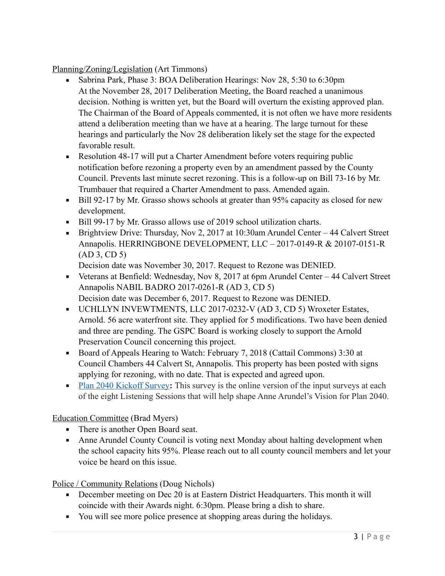Planning/Zoning/Legislation (Art Timmons)

- **•** Sabrina Park, Phase 3: BOA Deliberation Hearings: Nov 28, 5:30 to 6:30pm At the November 28, 2017 Deliberation Meeting, the Board reached a unanimous decision. Nothing is written yet, but the Board will overturn the existing approved plan. The Chairman of the Board of Appeals commented, it is not often we have more residents attend a deliberation meeting than we have at a hearing. The large turnout for these hearings and particularly the Nov 28 deliberation likely set the stage for the expected favorable result.
- Resolution 48-17 will put a Charter Amendment before voters requiring public notification before rezoning a property even by an amendment passed by the County Council. Prevents last minute secret rezoning. This is a follow-up on Bill 73-16 by Mr. Trumbauer that required a Charter Amendment to pass. Amended again.
- Bill 92-17 by Mr. Grasso shows schools at greater than 95% capacity as closed for new development.
- Bill 99-17 by Mr. Grasso allows use of 2019 school utilization charts.
- **Example 1** Brightview Drive: Thursday, Nov 2, 2017 at 10:30am Arundel Center 44 Calvert Street Annapolis. HERRINGBONE DEVELOPMENT, LLC – 2017-0149-R & 20107-0151-R (AD 3, CD 5)

Decision date was November 30, 2017. Request to Rezone was DENIED.

- Veterans at Benfield: Wednesday, Nov 8, 2017 at 6pm Arundel Center 44 Calvert Street Annapolis NABIL BADRO 2017-0261-R (AD 3, CD 5) Decision date was December 6, 2017. Request to Rezone was DENIED.
- UCHLLYN INVEWTMENTS, LLC 2017-0232-V (AD 3, CD 5) Wroxeter Estates, Arnold. 56 acre waterfront site. They applied for 5 modifications. Two have been denied and three are pending. The GSPC Board is working closely to support the Arnold Preservation Council concerning this project.
- Board of Appeals Hearing to Watch: February 7, 2018 (Cattail Commons) 3:30 at Council Chambers 44 Calvert St, Annapolis. This property has been posted with signs applying for rezoning, with no date. That is expected and agreed upon.
- [Plan 2040 Kickoff Survey](https://docs.google.com/forms/d/e/1FAIpQLSensFBDRHQVQgKC3jJvxSx7hQtINNh1AW5I1aKLKaFQizEZFg/viewform): This survey is the online version of the input surveys at each of the eight Listening Sessions that will help shape Anne Arundel's Vision for Plan 2040.

Education Committee (Brad Myers)

- There is another Open Board seat.
- Anne Arundel County Council is voting next Monday about halting development when the school capacity hits 95%. Please reach out to all county council members and let your voice be heard on this issue.

Police / Community Relations (Doug Nichols)

- December meeting on Dec 20 is at Eastern District Headquarters. This month it will coincide with their Awards night. 6:30pm. Please bring a dish to share.
- You will see more police presence at shopping areas during the holidays.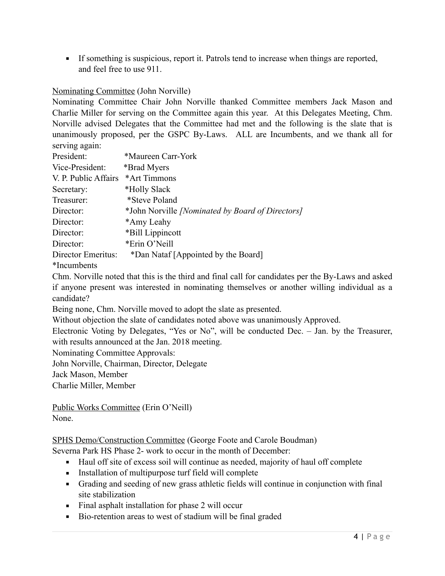**•** If something is suspicious, report it. Patrols tend to increase when things are reported, and feel free to use 911.

### Nominating Committee (John Norville)

Nominating Committee Chair John Norville thanked Committee members Jack Mason and Charlie Miller for serving on the Committee again this year. At this Delegates Meeting, Chm. Norville advised Delegates that the Committee had met and the following is the slate that is unanimously proposed, per the GSPC By-Laws. ALL are Incumbents, and we thank all for serving again:

| *Maureen Carr-York                                      |
|---------------------------------------------------------|
| *Brad Myers                                             |
| *Art Timmons                                            |
| *Holly Slack                                            |
| *Steve Poland                                           |
| *John Norville <i>[Nominated by Board of Directors]</i> |
| *Amy Leahy                                              |
| *Bill Lippincott                                        |
| *Erin O'Neill                                           |
| *Dan Nataf [Appointed by the Board]                     |
|                                                         |

\*Incumbents

Chm. Norville noted that this is the third and final call for candidates per the By-Laws and asked if anyone present was interested in nominating themselves or another willing individual as a candidate?

Being none, Chm. Norville moved to adopt the slate as presented.

Without objection the slate of candidates noted above was unanimously Approved.

Electronic Voting by Delegates, "Yes or No", will be conducted Dec. – Jan. by the Treasurer, with results announced at the Jan. 2018 meeting.

Nominating Committee Approvals:

John Norville, Chairman, Director, Delegate

Jack Mason, Member

Charlie Miller, Member

Public Works Committee (Erin O'Neill) None.

SPHS Demo/Construction Committee (George Foote and Carole Boudman)

Severna Park HS Phase 2- work to occur in the month of December:

- Haul off site of excess soil will continue as needed, majority of haul off complete
- **Exercise 1.5** Installation of multipurpose turf field will complete
- Grading and seeding of new grass athletic fields will continue in conjunction with final site stabilization
- Final asphalt installation for phase 2 will occur
- Bio-retention areas to west of stadium will be final graded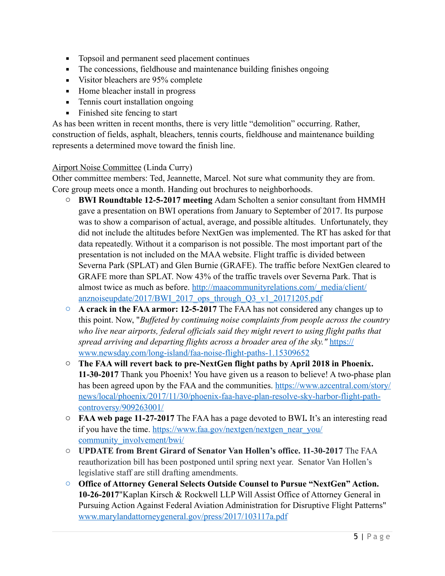- **•** Topsoil and permanent seed placement continues
- **•** The concessions, fieldhouse and maintenance building finishes ongoing
- Visitor bleachers are 95% complete
- Home bleacher install in progress
- **•** Tennis court installation ongoing
- $\blacksquare$  Finished site fencing to start

As has been written in recent months, there is very little "demolition" occurring. Rather, construction of fields, asphalt, bleachers, tennis courts, fieldhouse and maintenance building represents a determined move toward the finish line.

#### Airport Noise Committee (Linda Curry)

Other committee members: Ted, Jeannette, Marcel. Not sure what community they are from. Core group meets once a month. Handing out brochures to neighborhoods.

- o **BWI Roundtable 12-5-2017 meeting** Adam Scholten a senior consultant from HMMH gave a presentation on BWI operations from January to September of 2017. Its purpose was to show a comparison of actual, average, and possible altitudes. Unfortunately, they did not include the altitudes before NextGen was implemented. The RT has asked for that data repeatedly. Without it a comparison is not possible. The most important part of the presentation is not included on the MAA website. Flight traffic is divided between Severna Park (SPLAT) and Glen Burnie (GRAFE). The traffic before NextGen cleared to GRAFE more than SPLAT. Now 43% of the traffic travels over Severna Park. That is [almost twice as much as before. http://maacommunityrelations.com/\\_media/client/](http://maacommunityrelations.com/_media/client/anznoiseupdate/2017/BWI_2017_ops_through_Q3_v1_20171205.pdf) anznoiseupdate/2017/BWI\_2017\_ops\_through\_Q3\_v1\_20171205.pdf
- o **A crack in the FAA armor: 12-5-2017** The FAA has not considered any changes up to this point. Now, "*Buffeted by continuing noise complaints from people across the country*  who live near airports, federal officials said they might revert to using flight paths that *[spread arriving and departing flights across a broader area of the sky."](https://www.newsday.com/long-island/faa-noise-flight-paths-1.15309652)* https:// www.newsday.com/long-island/faa-noise-flight-paths-1.15309652
- o **The FAA will revert back to pre-NextGen flight paths by April 2018 in Phoenix. 11-30-2017** Thank you Phoenix! You have given us a reason to believe! A two-phase plan [has been agreed upon by the FAA and the communities. https://www.azcentral.com/story/](https://www.azcentral.com/story/news/local/phoenix/2017/11/30/phoenix-faa-have-plan-resolve-sky-harbor-flight-path-controversy/909263001/) news/local/phoenix/2017/11/30/phoenix-faa-have-plan-resolve-sky-harbor-flight-pathcontroversy/909263001/
- o **FAA web page 11-27-2017** The FAA has a page devoted to BWI**.** It's an interesting read [if you have the time. https://www.faa.gov/nextgen/nextgen\\_near\\_you/](https://www.faa.gov/nextgen/nextgen_near_you/community_involvement/bwi/) community\_involvement/bwi/
- o **UPDATE from Brent Girard of Senator Van Hollen's office. 11-30-2017** The FAA reauthorization bill has been postponed until spring next year. Senator Van Hollen's legislative staff are still drafting amendments.
- o **Office of Attorney General Selects Outside Counsel to Pursue "NextGen" Action. 10-26-2017**"Kaplan Kirsch & Rockwell LLP Will Assist Office of Attorney General in Pursuing Action Against Federal Aviation Administration for Disruptive Flight Patterns" [www.marylandattorneygeneral.gov/press/2017/103117a.pdf](http://www.marylandattorneygeneral.gov/press/2017/103117a.pdf)